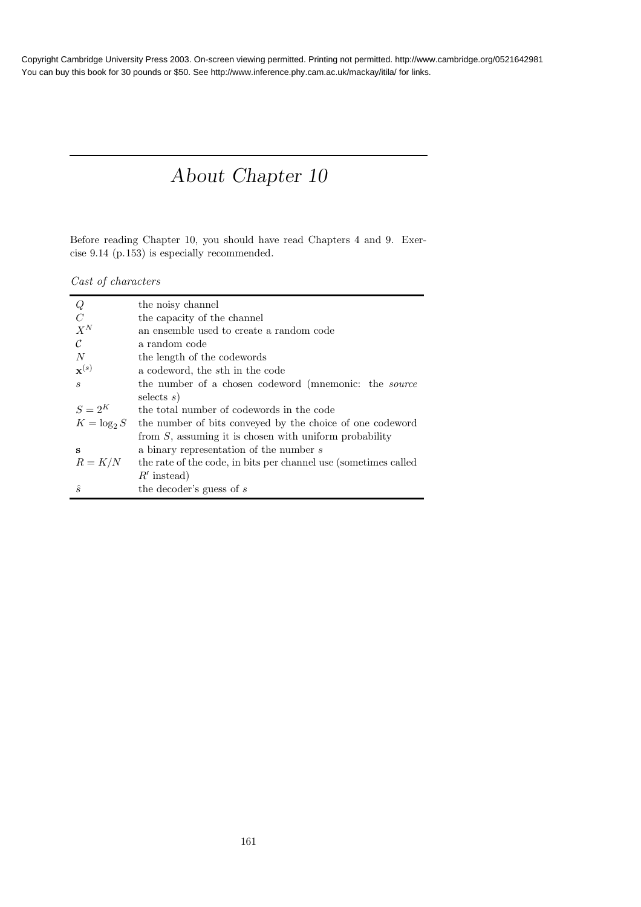# About Chapter 10

Before reading Chapter 10, you should have read Chapters 4 and 9. Exercise 9.14 (p.153) is especially recommended.

Cast of characters

| Q                           | the noisy channel                                               |
|-----------------------------|-----------------------------------------------------------------|
| $\mathcal C$                | the capacity of the channel                                     |
| $X^N$                       | an ensemble used to create a random code                        |
| $\mathcal{C}$               | a random code                                                   |
| N                           | the length of the codewords                                     |
| $\mathbf{x}^{(s)}$          | a codeword, the sth in the code                                 |
| $\mathcal{S}_{\mathcal{S}}$ | the number of a chosen codeword (mnemonic: the <i>source</i>    |
|                             | selects $s$ )                                                   |
| $S=2^K$                     | the total number of codewords in the code                       |
| $K = \log_2 S$              | the number of bits conveyed by the choice of one codeword       |
|                             | from $S$ , assuming it is chosen with uniform probability       |
| s                           | a binary representation of the number s                         |
| $R = K/N$                   | the rate of the code, in bits per channel use (sometimes called |
|                             | $R'$ instead)                                                   |
| $\hat{s}$                   | the decoder's guess of $s$                                      |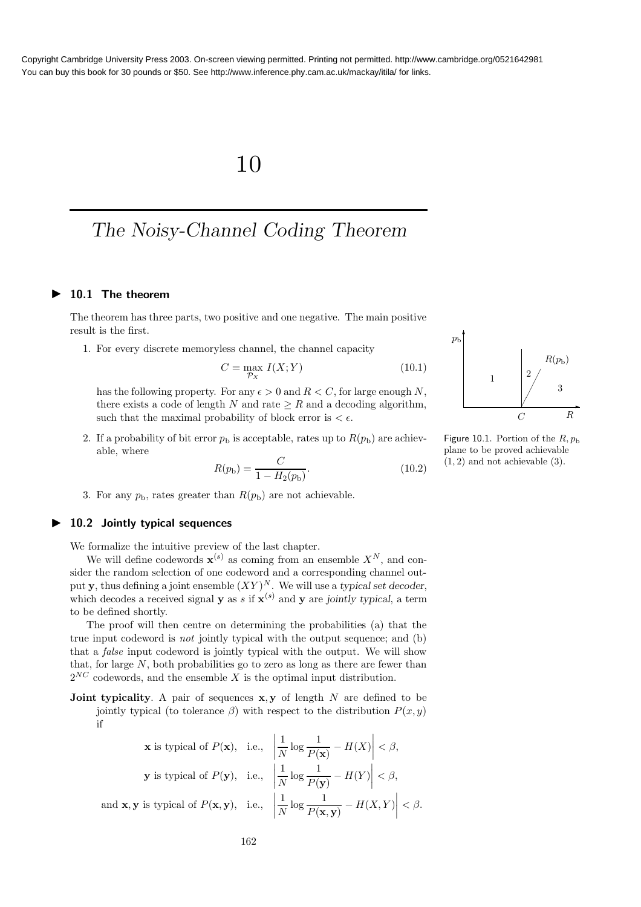## 10

## The Noisy-Channel Coding Theorem

### ▶ 10.1 The theorem

The theorem has three parts, two positive and one negative. The main positive result is the first.

1. For every discrete memoryless channel, the channel capacity

$$
C = \max_{\mathcal{P}_X} I(X;Y) \tag{10.1}
$$

has the following property. For any  $\epsilon > 0$  and  $R < C$ , for large enough N, there exists a code of length N and rate  $\geq R$  and a decoding algorithm, such that the maximal probability of block error is  $<\epsilon.$ 

2. If a probability of bit error  $p<sub>b</sub>$  is acceptable, rates up to  $R(p<sub>b</sub>)$  are achievable, where

$$
R(p_{\rm b}) = \frac{C}{1 - H_2(p_{\rm b})}.\tag{10.2}
$$

3. For any  $p_b$ , rates greater than  $R(p_b)$  are not achievable.

### $\blacktriangleright$  10.2 Jointly typical sequences

We formalize the intuitive preview of the last chapter.

We will define codewords  $\mathbf{x}^{(s)}$  as coming from an ensemble  $X^N$ , and consider the random selection of one codeword and a corresponding channel output y, thus defining a joint ensemble  $(XY)^N$ . We will use a typical set decoder, which decodes a received signal **y** as s if  $\mathbf{x}^{(s)}$  and **y** are jointly typical, a term to be defined shortly.

The proof will then centre on determining the probabilities (a) that the true input codeword is not jointly typical with the output sequence; and (b) that a false input codeword is jointly typical with the output. We will show that, for large  $N$ , both probabilities go to zero as long as there are fewer than  $2^{NC}$  codewords, and the ensemble X is the optimal input distribution.

**Joint typicality**. A pair of sequences  $x, y$  of length N are defined to be jointly typical (to tolerance  $\beta$ ) with respect to the distribution  $P(x, y)$ if

$$
\mathbf{x} \text{ is typical of } P(\mathbf{x}), \text{ i.e., } \left| \frac{1}{N} \log \frac{1}{P(\mathbf{x})} - H(X) \right| < \beta,
$$
\n
$$
\mathbf{y} \text{ is typical of } P(\mathbf{y}), \text{ i.e., } \left| \frac{1}{N} \log \frac{1}{P(\mathbf{y})} - H(Y) \right| < \beta,
$$
\n
$$
\text{and } \mathbf{x}, \mathbf{y} \text{ is typical of } P(\mathbf{x}, \mathbf{y}), \text{ i.e., } \left| \frac{1}{N} \log \frac{1}{P(\mathbf{x}, \mathbf{y})} - H(X, Y) \right| < \beta.
$$



Figure 10.1. Portion of the  $R, p_b$ plane to be proved achievable  $(1, 2)$  and not achievable  $(3)$ .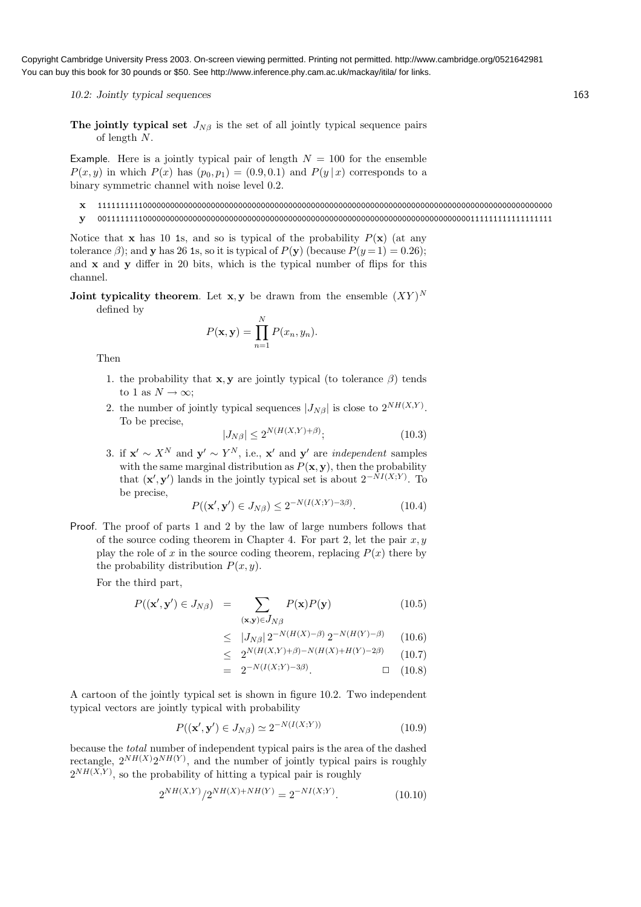10.2: Jointly typical sequences 163

The jointly typical set  $J_{N\beta}$  is the set of all jointly typical sequence pairs of length N.

Example. Here is a jointly typical pair of length  $N = 100$  for the ensemble  $P(x, y)$  in which  $P(x)$  has  $(p_0, p_1) = (0.9, 0.1)$  and  $P(y | x)$  corresponds to a binary symmetric channel with noise level 0.2.

- x 1111111111000000000000000000000000000000000000000000000000000000000000000000000000000000000000000000
- y 0011111111000000000000000000000000000000000000000000000000000000000000000000000000111111111111111111

Notice that x has 10 1s, and so is typical of the probability  $P(x)$  (at any tolerance  $\beta$ ); and y has 26 1s, so it is typical of  $P(y)$  (because  $P(y=1) = 0.26$ ); and  $x$  and  $y$  differ in 20 bits, which is the typical number of flips for this channel.

Joint typicality theorem. Let  $x, y$  be drawn from the ensemble  $(XY)^N$ defined by

$$
P(\mathbf{x}, \mathbf{y}) = \prod_{n=1}^{N} P(x_n, y_n).
$$

Then

- 1. the probability that **x**, y are jointly typical (to tolerance  $\beta$ ) tends to 1 as  $N \to \infty$ ;
- 2. the number of jointly typical sequences  $|J_{N\beta}|$  is close to  $2^{NH(X,Y)}$ . To be precise,

$$
|J_{N\beta}| \le 2^{N(H(X,Y)+\beta)};\tag{10.3}
$$

3. if  $\mathbf{x}' \sim X^N$  and  $\mathbf{y}' \sim Y^N$ , i.e.,  $\mathbf{x}'$  and  $\mathbf{y}'$  are *independent* samples with the same marginal distribution as  $P(\mathbf{x}, \mathbf{y})$ , then the probability that  $(\mathbf{x}', \mathbf{y}')$  lands in the jointly typical set is about  $2^{-NI(X;Y)}$ . To be precise,

$$
P((\mathbf{x}', \mathbf{y}') \in J_{N\beta}) \le 2^{-N(I(X;Y) - 3\beta)}.
$$
 (10.4)

Proof. The proof of parts 1 and 2 by the law of large numbers follows that of the source coding theorem in Chapter 4. For part 2, let the pair  $x, y$ play the role of x in the source coding theorem, replacing  $P(x)$  there by the probability distribution  $P(x, y)$ .

For the third part,

$$
P((\mathbf{x}', \mathbf{y}') \in J_{N\beta}) = \sum_{(\mathbf{x}, \mathbf{y}) \in J_{N\beta}} P(\mathbf{x}) P(\mathbf{y})
$$
(10.5)

$$
\leq |J_{N\beta}| 2^{-N(H(X)-\beta)} 2^{-N(H(Y)-\beta)} \qquad (10.6)
$$

$$
\leq 2^{N(H(X,Y)+\beta)-N(H(X)+H(Y)-2\beta)} \qquad (10.7)
$$

$$
= 2^{-N(I(X;Y)-3\beta)}.\t\t(10.8)
$$

A cartoon of the jointly typical set is shown in figure 10.2. Two independent typical vectors are jointly typical with probability

$$
P((\mathbf{x}', \mathbf{y}') \in J_{N\beta}) \simeq 2^{-N(I(X;Y))} \tag{10.9}
$$

because the total number of independent typical pairs is the area of the dashed rectangle,  $2^{NH(X)}2^{NH(Y)}$ , and the number of jointly typical pairs is roughly  $2^{NH(X,Y)}$ , so the probability of hitting a typical pair is roughly

$$
2^{NH(X,Y)}/2^{NH(X)+NH(Y)} = 2^{-NI(X;Y)}.\t(10.10)
$$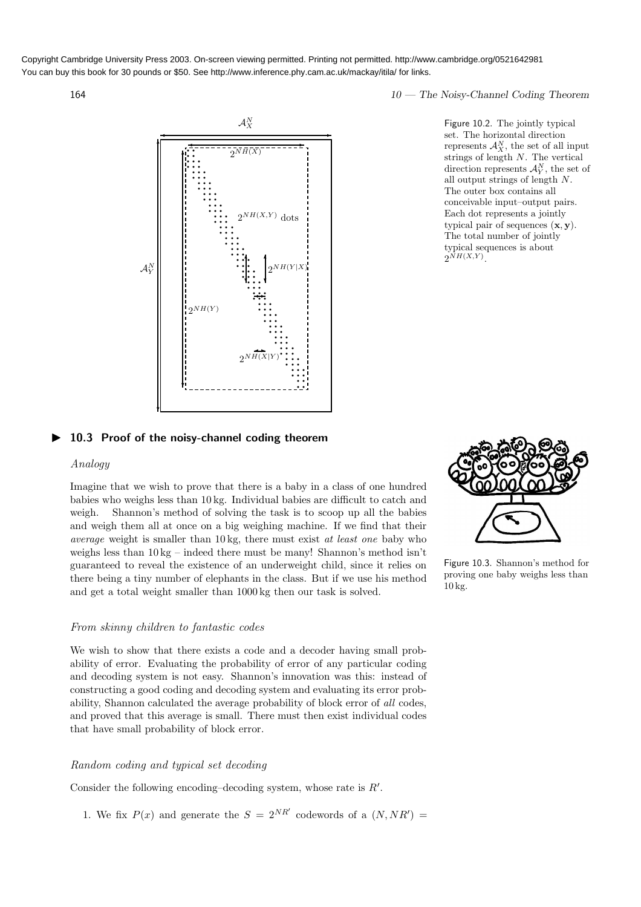

164 10 — The Noisy-Channel Coding Theorem

Figure 10.2. The jointly typical set. The horizontal direction represents  $\mathcal{A}_X^N$ , the set of all input strings of length N. The vertical direction represents  $\mathcal{A}_Y^N$ , the set of all output strings of length N. The outer box contains all conceivable input–output pairs. Each dot represents a jointly typical pair of sequences  $(\mathbf{x}, \mathbf{y})$ . The total number of jointly typical sequences is about  $2^{NH(X,Y)}$ .

### ▶ 10.3 Proof of the noisy-channel coding theorem

### Analogy

Imagine that we wish to prove that there is a baby in a class of one hundred babies who weighs less than 10 kg. Individual babies are difficult to catch and weigh. Shannon's method of solving the task is to scoop up all the babies and weigh them all at once on a big weighing machine. If we find that their average weight is smaller than 10 kg, there must exist at least one baby who weighs less than  $10 \text{ kg}$  – indeed there must be many! Shannon's method isn't guaranteed to reveal the existence of an underweight child, since it relies on there being a tiny number of elephants in the class. But if we use his method and get a total weight smaller than 1000 kg then our task is solved.

### From skinny children to fantastic codes

We wish to show that there exists a code and a decoder having small probability of error. Evaluating the probability of error of any particular coding and decoding system is not easy. Shannon's innovation was this: instead of constructing a good coding and decoding system and evaluating its error probability, Shannon calculated the average probability of block error of all codes, and proved that this average is small. There must then exist individual codes that have small probability of block error.

### Random coding and typical set decoding

Consider the following encoding-decoding system, whose rate is  $R'$ .

1. We fix  $P(x)$  and generate the  $S = 2^{NR'}$  codewords of a  $(N, NR') =$ 



Figure 10.3. Shannon's method for proving one baby weighs less than 10 kg.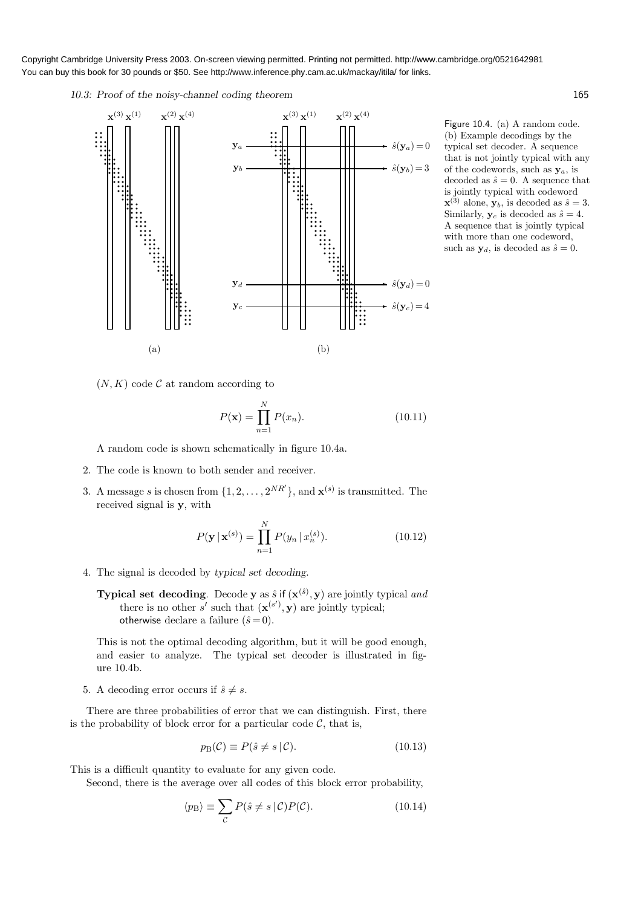10.3: Proof of the noisy-channel coding theorem 165



Figure 10.4. (a) A random code. (b) Example decodings by the typical set decoder. A sequence that is not jointly typical with any of the codewords, such as  $y_a$ , is decoded as  $\hat{s} = 0$ . A sequence that is jointly typical with codeword  $\mathbf{x}^{(3)}$  alone,  $\mathbf{y}_b$ , is decoded as  $\hat{s} = 3$ . Similarly,  $y_c$  is decoded as  $\hat{s} = 4$ . A sequence that is jointly typical with more than one codeword, such as  $y_d$ , is decoded as  $\hat{s} = 0$ .

 $(N, K)$  code C at random according to

$$
P(\mathbf{x}) = \prod_{n=1}^{N} P(x_n).
$$
 (10.11)

A random code is shown schematically in figure 10.4a.

- 2. The code is known to both sender and receiver.
- 3. A message s is chosen from  $\{1, 2, ..., 2^{NR'}\}$ , and  $\mathbf{x}^{(s)}$  is transmitted. The received signal is y, with

$$
P(\mathbf{y} \mid \mathbf{x}^{(s)}) = \prod_{n=1}^{N} P(y_n \mid x_n^{(s)}).
$$
 (10.12)

- 4. The signal is decoded by typical set decoding.
	- **Typical set decoding**. Decode **y** as  $\hat{s}$  if  $(\mathbf{x}^{(\hat{s})}, \mathbf{y})$  are jointly typical and there is no other s' such that  $(\mathbf{x}^{(s')}, \mathbf{y})$  are jointly typical; otherwise declare a failure  $(\hat{s}=0)$ .

This is not the optimal decoding algorithm, but it will be good enough, and easier to analyze. The typical set decoder is illustrated in figure 10.4b.

5. A decoding error occurs if  $\hat{s} \neq s$ .

There are three probabilities of error that we can distinguish. First, there is the probability of block error for a particular code  $C$ , that is,

$$
p_{\mathcal{B}}(\mathcal{C}) \equiv P(\hat{s} \neq s \,|\, \mathcal{C}).\tag{10.13}
$$

This is a difficult quantity to evaluate for any given code.

Second, there is the average over all codes of this block error probability,

$$
\langle p_{\rm B} \rangle \equiv \sum_{\mathcal{C}} P(\hat{s} \neq s \, | \, \mathcal{C}) P(\mathcal{C}). \tag{10.14}
$$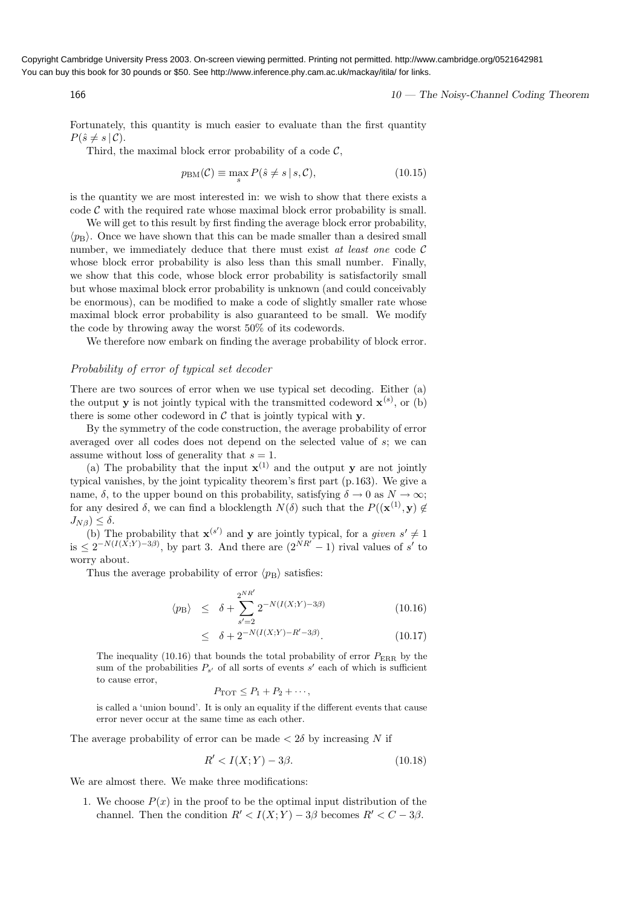166 166 10 — The Noisy-Channel Coding Theorem

Fortunately, this quantity is much easier to evaluate than the first quantity  $P(\hat{s} \neq s \,|\, \mathcal{C}).$ 

Third, the maximal block error probability of a code  $\mathcal{C}$ .

$$
p_{\text{BM}}(\mathcal{C}) \equiv \max_{s} P(\hat{s} \neq s \mid s, \mathcal{C}), \tag{10.15}
$$

is the quantity we are most interested in: we wish to show that there exists a  $\cot \theta$  with the required rate whose maximal block error probability is small.

We will get to this result by first finding the average block error probability,  $\langle p_B \rangle$ . Once we have shown that this can be made smaller than a desired small number, we immediately deduce that there must exist at least one code  $\mathcal C$ whose block error probability is also less than this small number. Finally, we show that this code, whose block error probability is satisfactorily small but whose maximal block error probability is unknown (and could conceivably be enormous), can be modified to make a code of slightly smaller rate whose maximal block error probability is also guaranteed to be small. We modify the code by throwing away the worst 50% of its codewords.

We therefore now embark on finding the average probability of block error.

### Probability of error of typical set decoder

There are two sources of error when we use typical set decoding. Either (a) the output **y** is not jointly typical with the transmitted codeword  $\mathbf{x}^{(s)}$ , or (b) there is some other codeword in  $\mathcal C$  that is jointly typical with  $\mathbf y$ .

By the symmetry of the code construction, the average probability of error averaged over all codes does not depend on the selected value of s; we can assume without loss of generality that  $s = 1$ .

(a) The probability that the input  $\mathbf{x}^{(1)}$  and the output y are not jointly typical vanishes, by the joint typicality theorem's first part (p.163). We give a name,  $\delta$ , to the upper bound on this probability, satisfying  $\delta \to 0$  as  $N \to \infty$ ; for any desired  $\delta$ , we can find a blocklength  $N(\delta)$  such that the  $P((\mathbf{x}^{(1)}, \mathbf{y}) \notin$  $J_{N\beta}$ )  $\leq \delta$ .

(b) The probability that  $\mathbf{x}^{(s')}$  and y are jointly typical, for a given  $s' \neq 1$ is  $\leq 2^{-N(I(X;Y)-3\beta)}$ , by part 3. And there are  $(2^{NR'}-1)$  rival values of s' to worry about.

Thus the average probability of error  $\langle p_{\rm B} \rangle$  satisfies:

$$
\langle p_{\rm B} \rangle \leq \delta + \sum_{s'=2}^{2^{NR'}} 2^{-N(I(X;Y)-3\beta)} \tag{10.16}
$$

$$
\leq \delta + 2^{-N(I(X;Y) - R' - 3\beta)}.
$$
\n(10.17)

The inequality (10.16) that bounds the total probability of error  $P_{\rm EBR}$  by the sum of the probabilities  $P_{s'}$  of all sorts of events  $s'$  each of which is sufficient to cause error,

$$
P_{\text{TOT}} \leq P_1 + P_2 + \cdots,
$$

is called a 'union bound'. It is only an equality if the different events that cause error never occur at the same time as each other.

The average probability of error can be made  $\langle 2\delta \rangle$  by increasing N if

$$
R' < I(X;Y) - 3\beta. \tag{10.18}
$$

We are almost there. We make three modifications:

1. We choose  $P(x)$  in the proof to be the optimal input distribution of the channel. Then the condition  $R' < I(X;Y) - 3\beta$  becomes  $R' < C - 3\beta$ .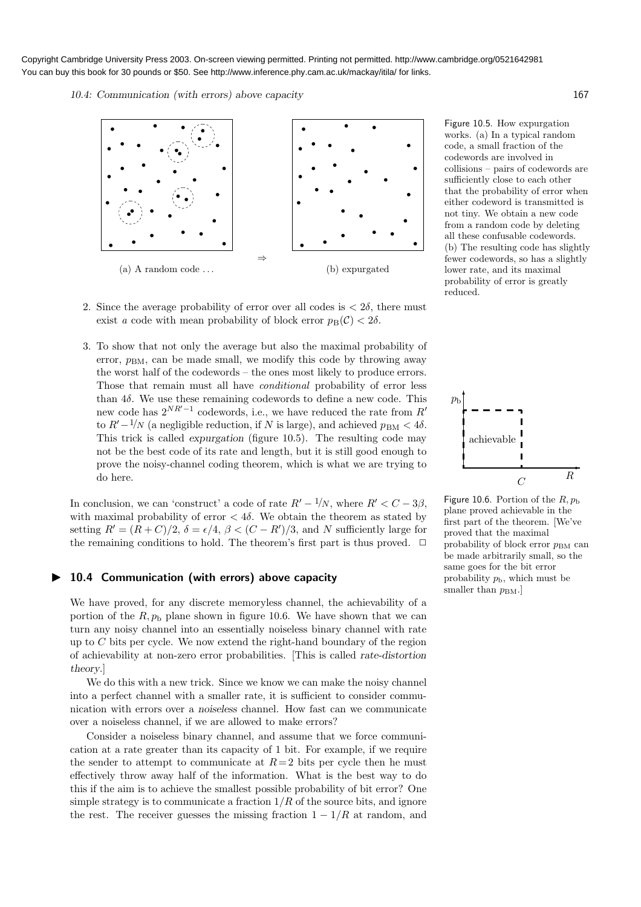10.4: Communication (with errors) above capacity 167



- 2. Since the average probability of error over all codes is  $\langle 2\delta, \rangle$  there must exist a code with mean probability of block error  $p_B(\mathcal{C}) < 2\delta$ .
- 3. To show that not only the average but also the maximal probability of error,  $p_{BM}$ , can be made small, we modify this code by throwing away the worst half of the codewords – the ones most likely to produce errors. Those that remain must all have *conditional* probability of error less than  $4\delta$ . We use these remaining codewords to define a new code. This new code has  $2^{NR'-1}$  codewords, i.e., we have reduced the rate from  $R'$ to  $R'-1/N$  (a negligible reduction, if N is large), and achieved  $p_{BM} < 4\delta$ . This trick is called expurgation (figure 10.5). The resulting code may not be the best code of its rate and length, but it is still good enough to prove the noisy-channel coding theorem, which is what we are trying to do here.

In conclusion, we can 'construct' a code of rate  $R'-1/N$ , where  $R'<sub>C</sub> - 3\beta$ , with maximal probability of error  $< 4\delta$ . We obtain the theorem as stated by setting  $R' = (R+C)/2$ ,  $\delta = \epsilon/4$ ,  $\beta < (C-R')/3$ , and N sufficiently large for the remaining conditions to hold. The theorem's first part is thus proved.  $\Box$ 

### ▶ 10.4 Communication (with errors) above capacity

We have proved, for any discrete memoryless channel, the achievability of a portion of the  $R, p_b$  plane shown in figure 10.6. We have shown that we can turn any noisy channel into an essentially noiseless binary channel with rate up to  $C$  bits per cycle. We now extend the right-hand boundary of the region of achievability at non-zero error probabilities. [This is called rate-distortion theory.]

We do this with a new trick. Since we know we can make the noisy channel into a perfect channel with a smaller rate, it is sufficient to consider communication with errors over a noiseless channel. How fast can we communicate over a noiseless channel, if we are allowed to make errors?

Consider a noiseless binary channel, and assume that we force communication at a rate greater than its capacity of 1 bit. For example, if we require the sender to attempt to communicate at  $R=2$  bits per cycle then he must effectively throw away half of the information. What is the best way to do this if the aim is to achieve the smallest possible probability of bit error? One simple strategy is to communicate a fraction  $1/R$  of the source bits, and ignore the rest. The receiver guesses the missing fraction  $1 - 1/R$  at random, and Figure 10.5. How expurgation works. (a) In a typical random code, a small fraction of the codewords are involved in collisions – pairs of codewords are sufficiently close to each other that the probability of error when either codeword is transmitted is not tiny. We obtain a new code from a random code by deleting all these confusable codewords. (b) The resulting code has slightly fewer codewords, so has a slightly lower rate, and its maximal probability of error is greatly reduced.



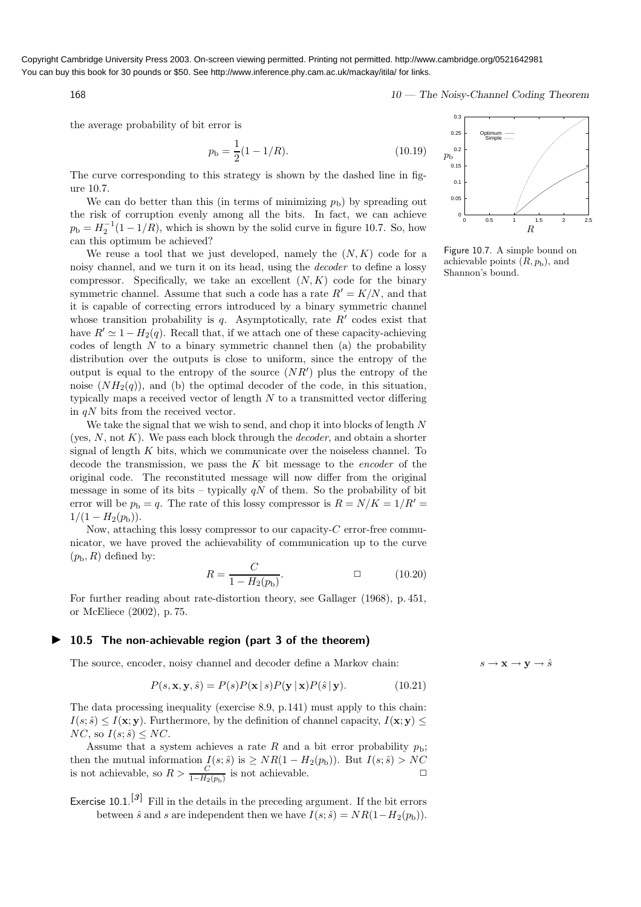168 168 10 — The Noisy-Channel Coding Theorem

the average probability of bit error is

$$
p_{\rm b} = \frac{1}{2}(1 - 1/R). \tag{10.19}
$$

The curve corresponding to this strategy is shown by the dashed line in figure 10.7.

We can do better than this (in terms of minimizing  $p<sub>b</sub>$ ) by spreading out the risk of corruption evenly among all the bits. In fact, we can achieve  $p_{\rm b} = H_2^{-1}(1 - 1/R)$ , which is shown by the solid curve in figure 10.7. So, how can this optimum be achieved?

We reuse a tool that we just developed, namely the  $(N, K)$  code for a noisy channel, and we turn it on its head, using the decoder to define a lossy compressor. Specifically, we take an excellent  $(N, K)$  code for the binary symmetric channel. Assume that such a code has a rate  $R' = K/N$ , and that it is capable of correcting errors introduced by a binary symmetric channel whose transition probability is  $q$ . Asymptotically, rate  $R'$  codes exist that have  $R' \simeq 1 - H_2(q)$ . Recall that, if we attach one of these capacity-achieving codes of length  $N$  to a binary symmetric channel then (a) the probability distribution over the outputs is close to uniform, since the entropy of the output is equal to the entropy of the source  $(NR')$  plus the entropy of the noise  $(NH_2(q))$ , and (b) the optimal decoder of the code, in this situation, typically maps a received vector of length  $N$  to a transmitted vector differing in  $qN$  bits from the received vector.

We take the signal that we wish to send, and chop it into blocks of length N (yes,  $N$ , not  $K$ ). We pass each block through the *decoder*, and obtain a shorter signal of length  $K$  bits, which we communicate over the noiseless channel. To decode the transmission, we pass the  $K$  bit message to the *encoder* of the original code. The reconstituted message will now differ from the original message in some of its bits – typically  $qN$  of them. So the probability of bit error will be  $p_b = q$ . The rate of this lossy compressor is  $R = N/K = 1/R' =$  $1/(1 - H_2(p_{\rm b})).$ 

Now, attaching this lossy compressor to our capacity-C error-free communicator, we have proved the achievability of communication up to the curve  $(p_{\rm b}, R)$  defined by:

$$
R = \frac{C}{1 - H_2(p_b)}.\t\t(10.20)
$$

For further reading about rate-distortion theory, see Gallager (1968), p. 451, or McEliece (2002), p. 75.

### ▶ 10.5 The non-achievable region (part 3 of the theorem)

The source, encoder, noisy channel and decoder define a Markov chain:  $s \to \mathbf{x} \to \mathbf{y} \to \hat{s}$ 

$$
P(s, \mathbf{x}, \mathbf{y}, \hat{s}) = P(s)P(\mathbf{x} | s)P(\mathbf{y} | \mathbf{x})P(\hat{s} | \mathbf{y}).
$$
\n(10.21)

The data processing inequality (exercise 8.9, p.141) must apply to this chain:  $I(s; \hat{s}) \leq I(x; y)$ . Furthermore, by the definition of channel capacity,  $I(x; y) \leq$  $NC$ , so  $I(s; \hat{s}) \leq NC$ .

Assume that a system achieves a rate R and a bit error probability  $p_{\rm b}$ ; then the mutual information  $I(s; \hat{s})$  is  $\geq NR(1 - H_2(p_b))$ . But  $I(s; \hat{s}) > NC$ is not achievable, so  $R > \frac{C}{1 - H_0}$  $\frac{C}{1-H_2(p_b)}$  is not achievable.  $\Box$ 

Exercise 10.1.<sup>[3]</sup> Fill in the details in the preceding argument. If the bit errors between  $\hat{s}$  and s are independent then we have  $I(s; \hat{s}) = NR(1-H_2(p_b)).$ 



Figure 10.7. A simple bound on achievable points  $(R, p<sub>b</sub>)$ , and Shannon's bound.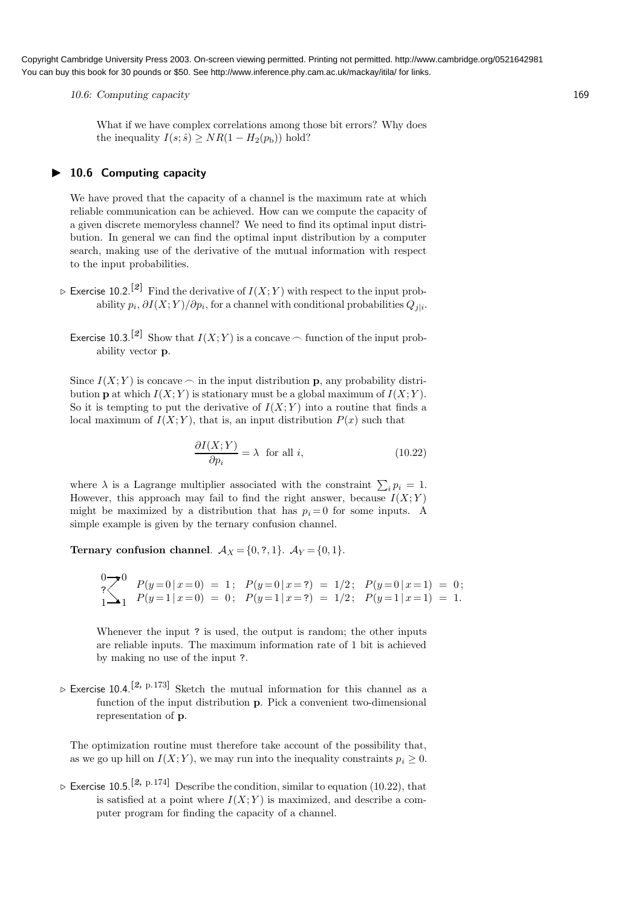10.6: Computing capacity 169

What if we have complex correlations among those bit errors? Why does the inequality  $I(s; \hat{s}) \ge NR(1 - H_2(p_b))$  hold?

### ▶ 10.6 Computing capacity

We have proved that the capacity of a channel is the maximum rate at which reliable communication can be achieved. How can we compute the capacity of a given discrete memoryless channel? We need to find its optimal input distribution. In general we can find the optimal input distribution by a computer search, making use of the derivative of the mutual information with respect to the input probabilities.

- $\triangleright$  Exercise 10.2.<sup>[2]</sup> Find the derivative of  $I(X;Y)$  with respect to the input probability  $p_i$ ,  $\partial I(X;Y)/\partial p_i$ , for a channel with conditional probabilities  $Q_{j|i}$ .
	- Exercise 10.3.<sup>[2]</sup> Show that  $I(X;Y)$  is a concave  $\frown$  function of the input probability vector p.

Since  $I(X; Y)$  is concave  $\frown$  in the input distribution p, any probability distribution **p** at which  $I(X; Y)$  is stationary must be a global maximum of  $I(X; Y)$ . So it is tempting to put the derivative of  $I(X; Y)$  into a routine that finds a local maximum of  $I(X; Y)$ , that is, an input distribution  $P(x)$  such that

$$
\frac{\partial I(X;Y)}{\partial p_i} = \lambda \quad \text{for all } i,
$$
\n(10.22)

where  $\lambda$  is a Lagrange multiplier associated with the constraint  $\sum_i p_i = 1$ . However, this approach may fail to find the right answer, because  $I(X;Y)$ might be maximized by a distribution that has  $p<sub>i</sub> = 0$  for some inputs. A simple example is given by the ternary confusion channel.

Ternary confusion channel.  $A_X = \{0, ?, 1\}$ .  $A_Y = \{0, 1\}$ .

$$
\begin{array}{lllll} & 0 \longrightarrow 0 & P(y=0 \mid x=0) = 1 \\ & 1 \longrightarrow 1 & P(y=1 \mid x=0) = 0 \\ \end{array} \quad P(y=0 \mid x=?) = 1/2 \quad P(y=0 \mid x=1) = 0 \quad ; \quad P(y=1 \mid x=?) = 1/2 \quad ; \quad P(y=1 \mid x=1) = 1.
$$

Whenever the input ? is used, the output is random; the other inputs are reliable inputs. The maximum information rate of 1 bit is achieved by making no use of the input ?.

 $\triangleright$  Exercise 10.4.<sup>[2, p.173]</sup> Sketch the mutual information for this channel as a function of the input distribution p. Pick a convenient two-dimensional representation of p.

The optimization routine must therefore take account of the possibility that, as we go up hill on  $I(X; Y)$ , we may run into the inequality constraints  $p_i \geq 0$ .

 $\triangleright$  Exercise 10.5.<sup>[2, p.174]</sup> Describe the condition, similar to equation (10.22), that is satisfied at a point where  $I(X; Y)$  is maximized, and describe a computer program for finding the capacity of a channel.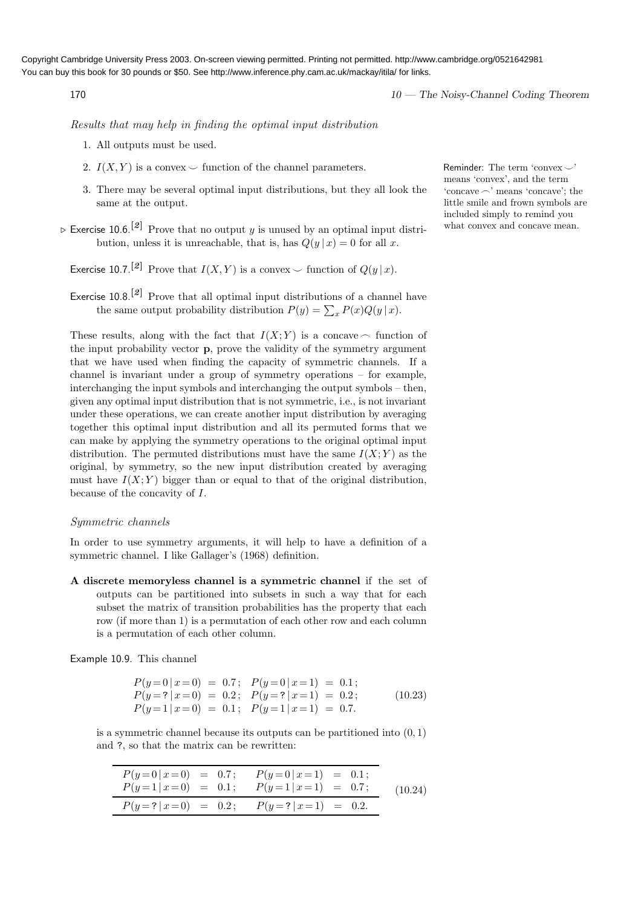170 170 170 170 and the United States of the Noisy-Channel Coding Theorem

Results that may help in finding the optimal input distribution

- 1. All outputs must be used.
- 2.  $I(X, Y)$  is a convex  $\smile$  function of the channel parameters. Reminder: The term 'convex  $\smile$ '
- 3. There may be several optimal input distributions, but they all look the same at the output.
- $\triangleright$  Exercise 10.6.<sup>[2]</sup> Prove that no output y is unused by an optimal input distribution, unless it is unreachable, that is, has  $Q(y | x) = 0$  for all x.
	- Exercise 10.7.<sup>[2]</sup> Prove that  $I(X, Y)$  is a convex  $\smile$  function of  $O(y | x)$ .
	- Exercise  $10.8$ <sup>[2]</sup> Prove that all optimal input distributions of a channel have the same output probability distribution  $P(y) = \sum_{x} P(x)Q(y|x)$ .

These results, along with the fact that  $I(X; Y)$  is a concave  $\frown$  function of the input probability vector p, prove the validity of the symmetry argument that we have used when finding the capacity of symmetric channels. If a channel is invariant under a group of symmetry operations – for example, interchanging the input symbols and interchanging the output symbols – then, given any optimal input distribution that is not symmetric, i.e., is not invariant under these operations, we can create another input distribution by averaging together this optimal input distribution and all its permuted forms that we can make by applying the symmetry operations to the original optimal input distribution. The permuted distributions must have the same  $I(X; Y)$  as the original, by symmetry, so the new input distribution created by averaging must have  $I(X; Y)$  bigger than or equal to that of the original distribution, because of the concavity of I.

### Symmetric channels

In order to use symmetry arguments, it will help to have a definition of a symmetric channel. I like Gallager's (1968) definition.

A discrete memoryless channel is a symmetric channel if the set of outputs can be partitioned into subsets in such a way that for each subset the matrix of transition probabilities has the property that each row (if more than 1) is a permutation of each other row and each column is a permutation of each other column.

Example 10.9. This channel

| $P(y=0 x=0) = 0.7; P(y=0 x=1) = 0.1;$     |         |
|-------------------------------------------|---------|
| $P(y=?   x=0) = 0.2; P(y=?   x=1) = 0.2;$ | (10.23) |
| $P(y=1   x=0) = 0.1; P(y=1   x=1) = 0.7.$ |         |

is a symmetric channel because its outputs can be partitioned into  $(0, 1)$ and ?, so that the matrix can be rewritten:

|  | $P(y=0 x=0) = 0.7;$ $P(y=0 x=1) = 0.1;$<br>$P(y=1 x=0) = 0.1;$ $P(y=1 x=1) = 0.7;$ |  | (10.24) |
|--|------------------------------------------------------------------------------------|--|---------|
|  | $P(y=?   x=0) = 0.2;$ $P(y=?   x=1) = 0.2.$                                        |  |         |

means 'convex', and the term  $\text{`concave} \frown \text{' means 'concave': the}$ little smile and frown symbols are included simply to remind you what convex and concave mean.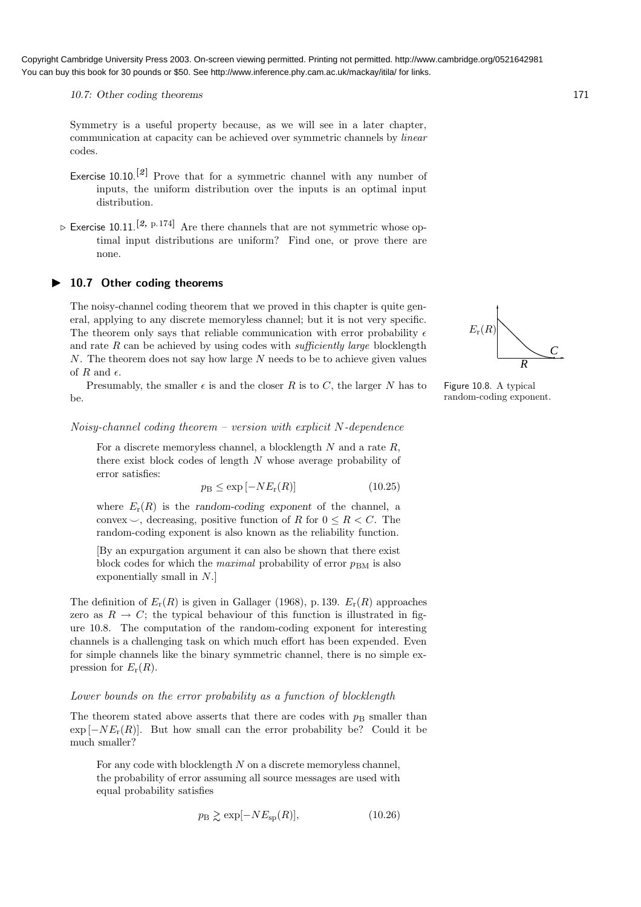10.7: Other coding theorems 171

Symmetry is a useful property because, as we will see in a later chapter, communication at capacity can be achieved over symmetric channels by linear codes.

- Exercise 10.10.<sup>[2]</sup> Prove that for a symmetric channel with any number of inputs, the uniform distribution over the inputs is an optimal input distribution.
- $\triangleright$  Exercise 10.11.<sup>[2, p.174]</sup> Are there channels that are not symmetric whose optimal input distributions are uniform? Find one, or prove there are none.
- ▶ 10.7 Other coding theorems

The noisy-channel coding theorem that we proved in this chapter is quite general, applying to any discrete memoryless channel; but it is not very specific. The theorem only says that reliable communication with error probability  $\epsilon$ and rate  $R$  can be achieved by using codes with *sufficiently large* blocklength  $N$ . The theorem does not say how large  $N$  needs to be to achieve given values of  $R$  and  $\epsilon$ .

Presumably, the smaller  $\epsilon$  is and the closer R is to C, the larger N has to be.

### $Noisy-channel coding theorem - version with explicit N-dependence$

For a discrete memoryless channel, a blocklength  $N$  and a rate  $R$ , there exist block codes of length N whose average probability of error satisfies:

$$
p_{\rm B} \le \exp\left[-NE_{\rm r}(R)\right] \tag{10.25}
$$

where  $E_r(R)$  is the random-coding exponent of the channel, a convex  $\smile$ , decreasing, positive function of R for  $0 \leq R \leq C$ . The random-coding exponent is also known as the reliability function.

[By an expurgation argument it can also be shown that there exist block codes for which the *maximal* probability of error  $p_{BM}$  is also exponentially small in N.]

The definition of  $E_r(R)$  is given in Gallager (1968), p. 139.  $E_r(R)$  approaches zero as  $R \to C$ ; the typical behaviour of this function is illustrated in figure 10.8. The computation of the random-coding exponent for interesting channels is a challenging task on which much effort has been expended. Even for simple channels like the binary symmetric channel, there is no simple expression for  $E_r(R)$ .

### Lower bounds on the error probability as a function of blocklength

The theorem stated above asserts that there are codes with  $p<sub>B</sub>$  smaller than  $\exp[-NE_r(R)]$ . But how small can the error probability be? Could it be much smaller?

For any code with blocklength  $N$  on a discrete memoryless channel, the probability of error assuming all source messages are used with equal probability satisfies

$$
p_{\rm B} \gtrsim \exp[-NE_{\rm sp}(R)],\tag{10.26}
$$



Figure 10.8. A typical random-coding exponent.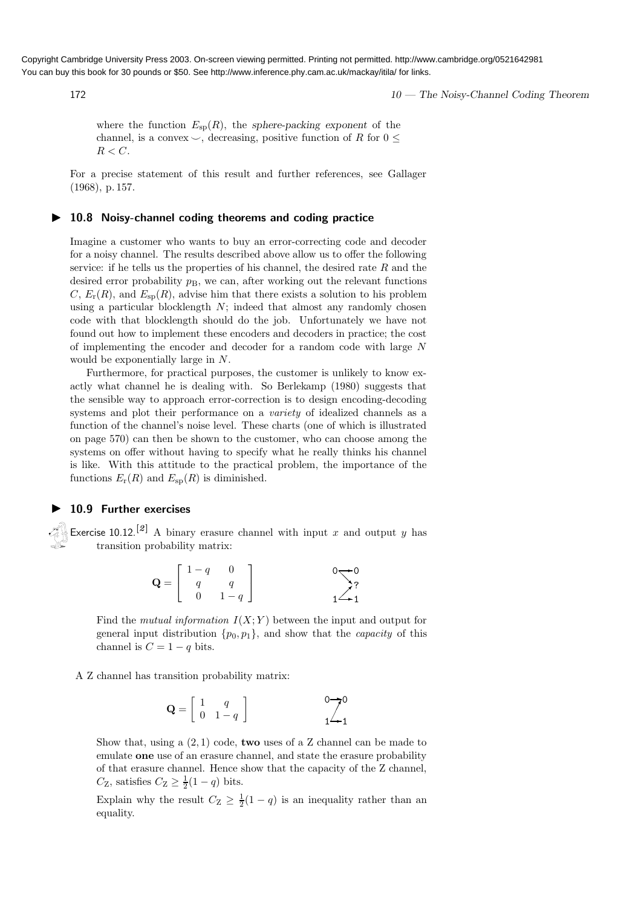172 10 — The Noisy-Channel Coding Theorem

where the function  $E_{\rm sp}(R)$ , the sphere-packing exponent of the channel, is a convex  $\smile$ , decreasing, positive function of R for  $0 \leq$  $R < C$ .

For a precise statement of this result and further references, see Gallager (1968), p. 157.

### ▶ 10.8 Noisy-channel coding theorems and coding practice

Imagine a customer who wants to buy an error-correcting code and decoder for a noisy channel. The results described above allow us to offer the following service: if he tells us the properties of his channel, the desired rate  $R$  and the desired error probability  $p_B$ , we can, after working out the relevant functions  $C, E_r(R)$ , and  $E_{\rm sp}(R)$ , advise him that there exists a solution to his problem using a particular blocklength  $N$ ; indeed that almost any randomly chosen code with that blocklength should do the job. Unfortunately we have not found out how to implement these encoders and decoders in practice; the cost of implementing the encoder and decoder for a random code with large N would be exponentially large in N.

Furthermore, for practical purposes, the customer is unlikely to know exactly what channel he is dealing with. So Berlekamp (1980) suggests that the sensible way to approach error-correction is to design encoding-decoding systems and plot their performance on a *variety* of idealized channels as a function of the channel's noise level. These charts (one of which is illustrated on page 570) can then be shown to the customer, who can choose among the systems on offer without having to specify what he really thinks his channel is like. With this attitude to the practical problem, the importance of the functions  $E_{\rm r}(R)$  and  $E_{\rm sp}(R)$  is diminished.

### ▶ 10.9 Further exercises

Exercise 10.12.<sup>[2]</sup> A binary erasure channel with input x and output y has transition probability matrix:

$$
\mathbf{Q} = \begin{bmatrix} 1-q & 0 \\ q & q \\ 0 & 1-q \end{bmatrix} \qquad \qquad \begin{array}{c} 0 \longrightarrow 0 \\ 0 \longrightarrow 2 \\ 1 \longrightarrow 1 \end{array}
$$

Find the mutual information  $I(X; Y)$  between the input and output for general input distribution  $\{p_0, p_1\}$ , and show that the *capacity* of this channel is  $C = 1 - q$  bits.

A Z channel has transition probability matrix:

$$
\mathbf{Q} = \left[ \begin{array}{cc} 1 & q \\ 0 & 1 - q \end{array} \right] \qquad \qquad \begin{array}{c} 0 \rightarrow 0 \\ 1 \rightarrow 1 \end{array}
$$

Show that, using a  $(2, 1)$  code, **two** uses of a Z channel can be made to emulate one use of an erasure channel, and state the erasure probability of that erasure channel. Hence show that the capacity of the Z channel,  $C_{\mathbf{Z}}$ , satisfies  $C_{\mathbf{Z}} \geq \frac{1}{2}(1-q)$  bits.

Explain why the result  $C_Z \geq \frac{1}{2}(1-q)$  is an inequality rather than an equality.